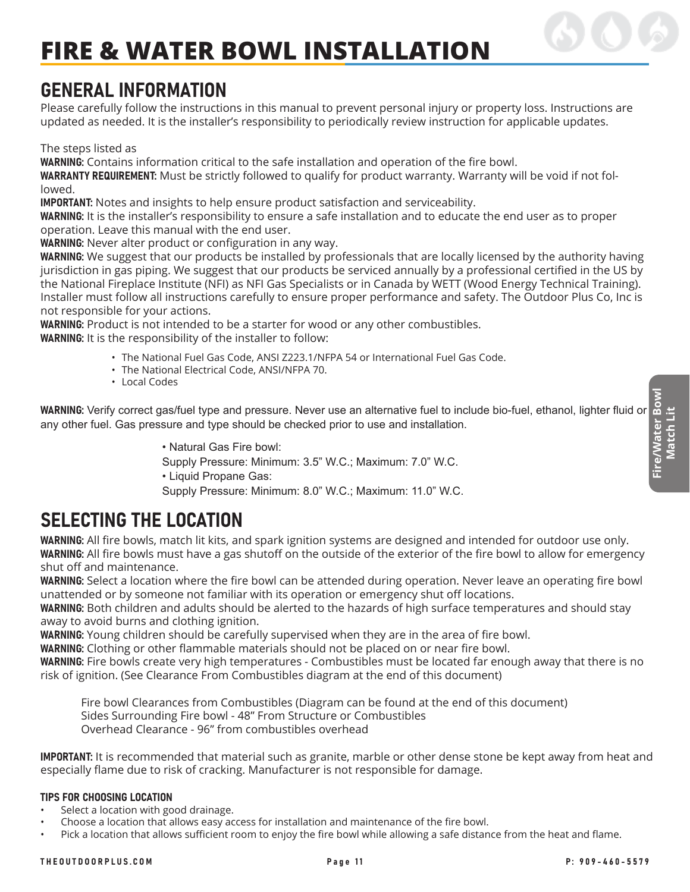### GENERAL INFORMATION

Please carefully follow the instructions in this manual to prevent personal injury or property loss. Instructions are updated as needed. It is the installer's responsibility to periodically review instruction for applicable updates.

The steps listed as

WARNING: Contains information critical to the safe installation and operation of the fire bowl.

WARRANTY REQUIREMENT: Must be strictly followed to qualify for product warranty. Warranty will be void if not followed.

IMPORTANT: Notes and insights to help ensure product satisfaction and serviceability.

WARNING: It is the installer's responsibility to ensure a safe installation and to educate the end user as to proper operation. Leave this manual with the end user.

WARNING: Never alter product or configuration in any way.

WARNING: We suggest that our products be installed by professionals that are locally licensed by the authority having jurisdiction in gas piping. We suggest that our products be serviced annually by a professional certified in the US by the National Fireplace Institute (NFI) as NFI Gas Specialists or in Canada by WETT (Wood Energy Technical Training). Installer must follow all instructions carefully to ensure proper performance and safety. The Outdoor Plus Co, Inc is not responsible for your actions.

WARNING: Product is not intended to be a starter for wood or any other combustibles. WARNING: It is the responsibility of the installer to follow:

- The National Fuel Gas Code, ANSI Z223.1/NFPA 54 or International Fuel Gas Code.
- The National Electrical Code, ANSI/NFPA 70.
- Local Codes

**Fire/Water Bowl** WARNING: Verify correct gas/fuel type and pressure. Never use an alternative fuel to include bio-fuel, ethanol, lighter fluid or<br>any other fuel. Gas pressure and type should be checked prior to use and installation.<br>• Natu any other fuel. Gas pressure and type should be checked prior to use and installation.

• Natural Gas Fire bowl: Supply Pressure: Minimum: 3.5" W.C.; Maximum: 7.0" W.C. • Liquid Propane Gas: Supply Pressure: Minimum: 8.0" W.C.; Maximum: 11.0" W.C.

## SELECTING THE LOCATION

WARNING: All fire bowls, match lit kits, and spark ignition systems are designed and intended for outdoor use only. WARNING: All fire bowls must have a gas shutoff on the outside of the exterior of the fire bowl to allow for emergency shut off and maintenance.

WARNING: Select a location where the fire bowl can be attended during operation. Never leave an operating fire bowl unattended or by someone not familiar with its operation or emergency shut off locations.

WARNING: Both children and adults should be alerted to the hazards of high surface temperatures and should stay away to avoid burns and clothing ignition.

WARNING: Young children should be carefully supervised when they are in the area of fire bowl.

WARNING: Clothing or other flammable materials should not be placed on or near fire bowl.

WARNING: Fire bowls create very high temperatures - Combustibles must be located far enough away that there is no risk of ignition. (See Clearance From Combustibles diagram at the end of this document)

Fire bowl Clearances from Combustibles (Diagram can be found at the end of this document) Sides Surrounding Fire bowl - 48" From Structure or Combustibles Overhead Clearance - 96" from combustibles overhead

IMPORTANT: It is recommended that material such as granite, marble or other dense stone be kept away from heat and especially flame due to risk of cracking. Manufacturer is not responsible for damage.

#### TIPS FOR CHOOSING LOCATION

- Select a location with good drainage.
- Choose a location that allows easy access for installation and maintenance of the fire bowl.
- Pick a location that allows sufficient room to enjoy the fire bowl while allowing a safe distance from the heat and flame.

**Match Lit**

Match Lit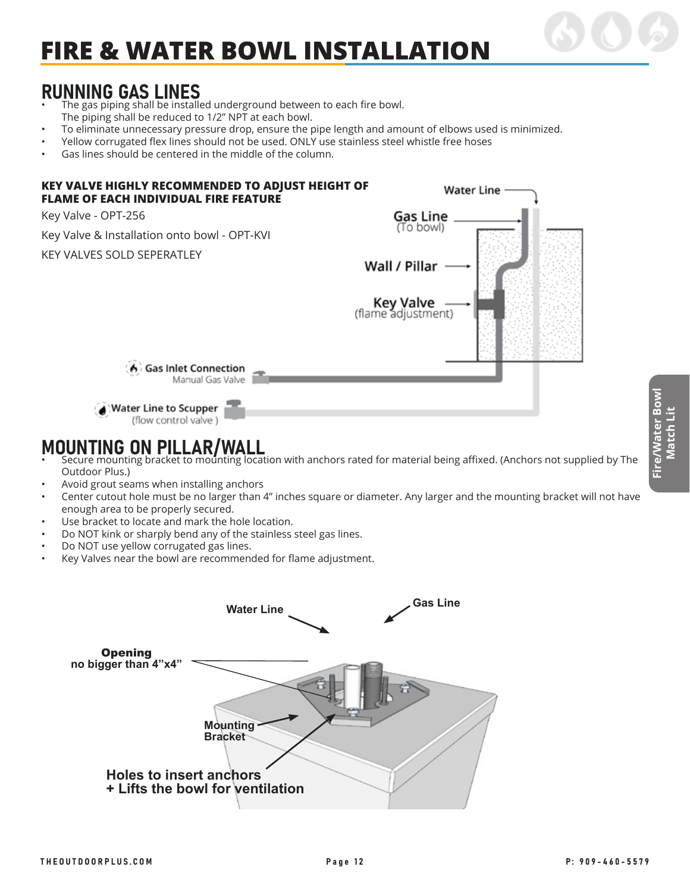### RUNNING GAS LINES

- The gas piping shall be installed underground between to each fire bowl. The piping shall be reduced to 1/2" NPT at each bowl.
- To eliminate unnecessary pressure drop, ensure the pipe length and amount of elbows used is minimized.
- Yellow corrugated flex lines should not be used. ONLY use stainless steel whistle free hoses
- Gas lines should be centered in the middle of the column.



### MOUNTING ON PILLAR/WALL

- Secure mounting bracket to mounting location with anchors rated for material being affixed. (Anchors not supplied by The Outdoor Plus.)
- Avoid grout seams when installing anchors
- Center cutout hole must be no larger than 4" inches square or diameter. Any larger and the mounting bracket will not have enough area to be properly secured.
- Use bracket to locate and mark the hole location.
- Do NOT kink or sharply bend any of the stainless steel gas lines.
- Do NOT use yellow corrugated gas lines.
- Key Valves near the bowl are recommended for flame adjustment.

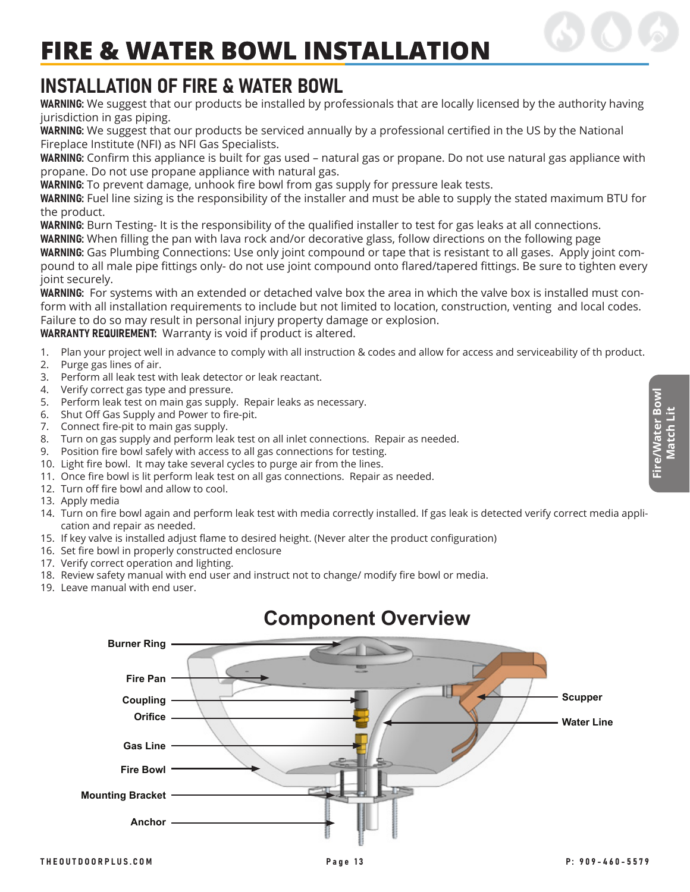### INSTALLATION OF FIRE & WATER BOWL

WARNING: We suggest that our products be installed by professionals that are locally licensed by the authority having jurisdiction in gas piping.

WARNING: We suggest that our products be serviced annually by a professional certified in the US by the National Fireplace Institute (NFI) as NFI Gas Specialists.

WARNING: Confirm this appliance is built for gas used – natural gas or propane. Do not use natural gas appliance with propane. Do not use propane appliance with natural gas.

WARNING: To prevent damage, unhook fire bowl from gas supply for pressure leak tests.

WARNING: Fuel line sizing is the responsibility of the installer and must be able to supply the stated maximum BTU for the product.

WARNING: Burn Testing- It is the responsibility of the qualified installer to test for gas leaks at all connections. WARNING: When filling the pan with lava rock and/or decorative glass, follow directions on the following page

WARNING: Gas Plumbing Connections: Use only joint compound or tape that is resistant to all gases. Apply joint compound to all male pipe fittings only- do not use joint compound onto flared/tapered fittings. Be sure to tighten every joint securely.

WARNING: For systems with an extended or detached valve box the area in which the valve box is installed must conform with all installation requirements to include but not limited to location, construction, venting and local codes. Failure to do so may result in personal injury property damage or explosion.

WARRANTY REQUIREMENT: Warranty is void if product is altered.

- 1. Plan your project well in advance to comply with all instruction & codes and allow for access and serviceability of th product.
- 2. Purge gas lines of air.
- 3. Perform all leak test with leak detector or leak reactant.
- 4. Verify correct gas type and pressure.
- 5. Perform leak test on main gas supply. Repair leaks as necessary.
- 6. Shut Off Gas Supply and Power to fire-pit.
- 7. Connect fire-pit to main gas supply.
- 8. Turn on gas supply and perform leak test on all inlet connections. Repair as needed.
- 9. Position fire bowl safely with access to all gas connections for testing.
- 10. Light fire bowl. It may take several cycles to purge air from the lines.
- 11. Once fire bowl is lit perform leak test on all gas connections. Repair as needed.
- 12. Turn off fire bowl and allow to cool.
- 13. Apply media
- 14. Turn on fire bowl again and perform leak test with media correctly installed. If gas leak is detected verify correct media application and repair as needed.
- 15. If key valve is installed adjust flame to desired height. (Never alter the product configuration)
- 16. Set fire bowl in properly constructed enclosure
- 17. Verify correct operation and lighting.
- 18. Review safety manual with end user and instruct not to change/ modify fire bowl or media.
- 19. Leave manual with end user.



### **Component Overview**

**Fire/Water Bowl Match Lit**

Fire/Water Bow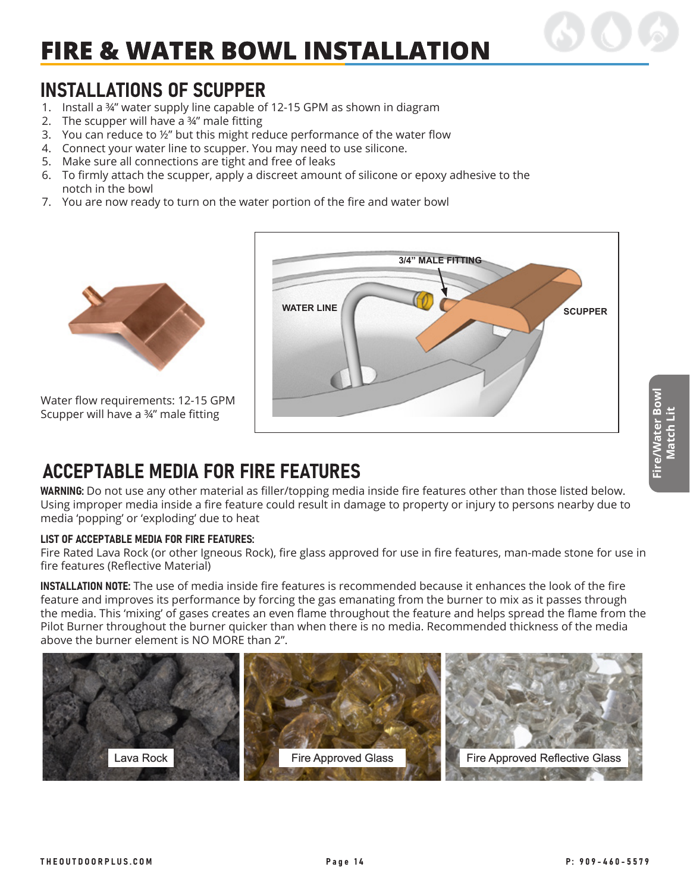### INSTALLATIONS OF SCUPPER

- 1. Install a ¾" water supply line capable of 12-15 GPM as shown in diagram
- 2. The scupper will have a  $\frac{3}{4}$ " male fitting
- 3. You can reduce to ½" but this might reduce performance of the water flow
- 4. Connect your water line to scupper. You may need to use silicone.
- 5. Make sure all connections are tight and free of leaks
- 6. To firmly attach the scupper, apply a discreet amount of silicone or epoxy adhesive to the notch in the bowl
- 7. You are now ready to turn on the water portion of the fire and water bowl



Water flow requirements: 12-15 GPM Scupper will have a ¾" male fitting



## ACCEPTABLE MEDIA FOR FIRE FEATURES

WARNING: Do not use any other material as filler/topping media inside fire features other than those listed below. Using improper media inside a fire feature could result in damage to property or injury to persons nearby due to media 'popping' or 'exploding' due to heat

#### LIST OF ACCEPTABLE MEDIA FOR FIRE FEATURES:

Fire Rated Lava Rock (or other Igneous Rock), fire glass approved for use in fire features, man-made stone for use in fire features (Reflective Material)

INSTALLATION NOTE: The use of media inside fire features is recommended because it enhances the look of the fire feature and improves its performance by forcing the gas emanating from the burner to mix as it passes through the media. This 'mixing' of gases creates an even flame throughout the feature and helps spread the flame from the Pilot Burner throughout the burner quicker than when there is no media. Recommended thickness of the media above the burner element is NO MORE than 2".

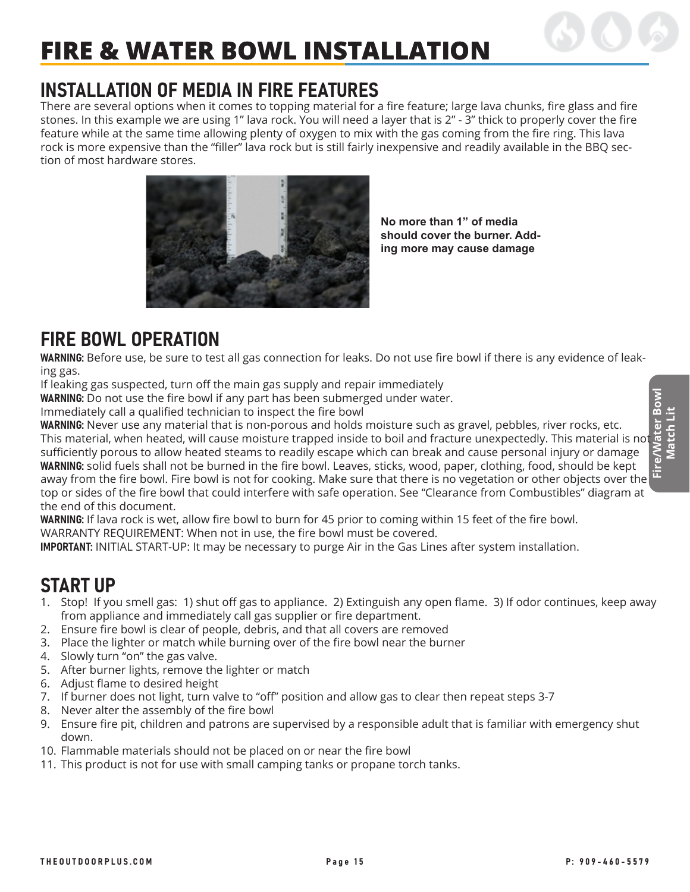## INSTALLATION OF MEDIA IN FIRE FEATURES

There are several options when it comes to topping material for a fire feature; large lava chunks, fire glass and fire stones. In this example we are using 1" lava rock. You will need a layer that is 2" - 3" thick to properly cover the fire feature while at the same time allowing plenty of oxygen to mix with the gas coming from the fire ring. This lava rock is more expensive than the "filler" lava rock but is still fairly inexpensive and readily available in the BBQ section of most hardware stores.



**No more than 1" of media should cover the burner. Adding more may cause damage**

### FIRE BOWL OPERATION

WARNING: Before use, be sure to test all gas connection for leaks. Do not use fire bowl if there is any evidence of leaking gas.

If leaking gas suspected, turn off the main gas supply and repair immediately

WARNING: Do not use the fire bowl if any part has been submerged under water.

Immediately call a qualified technician to inspect the fire bowl

WARNING: Never use any material that is non-porous and holds moisture such as gravel, pebbles, river rocks, etc. This material, when heated, will cause moisture trapped inside to boil and fracture unexpectedly. This material is not sufficiently porous to allow heated steams to readily escape which can break and cause personal injury or damage WARNING: solid fuels shall not be burned in the fire bowl. Leaves, sticks, wood, paper, clothing, food, should be kept away from the fire bowl. Fire bowl is not for cooking. Make sure that there is no vegetation or other objects over the top or sides of the fire bowl that could interfere with safe operation. See "Clearance from Combustibles" diagram at the end of this document.

WARNING: If lava rock is wet, allow fire bowl to burn for 45 prior to coming within 15 feet of the fire bowl.

WARRANTY REQUIREMENT: When not in use, the fire bowl must be covered.

IMPORTANT: INITIAL START-UP: It may be necessary to purge Air in the Gas Lines after system installation.

### START UP

- 1. Stop! If you smell gas: 1) shut off gas to appliance. 2) Extinguish any open flame. 3) If odor continues, keep away from appliance and immediately call gas supplier or fire department.
- 2. Ensure fire bowl is clear of people, debris, and that all covers are removed
- 3. Place the lighter or match while burning over of the fire bowl near the burner
- 4. Slowly turn "on" the gas valve.
- 5. After burner lights, remove the lighter or match
- 6. Adjust flame to desired height
- 7. If burner does not light, turn valve to "off" position and allow gas to clear then repeat steps 3-7
- 8. Never alter the assembly of the fire bowl
- 9. Ensure fire pit, children and patrons are supervised by a responsible adult that is familiar with emergency shut down.
- 10. Flammable materials should not be placed on or near the fire bowl
- 11. This product is not for use with small camping tanks or propane torch tanks.